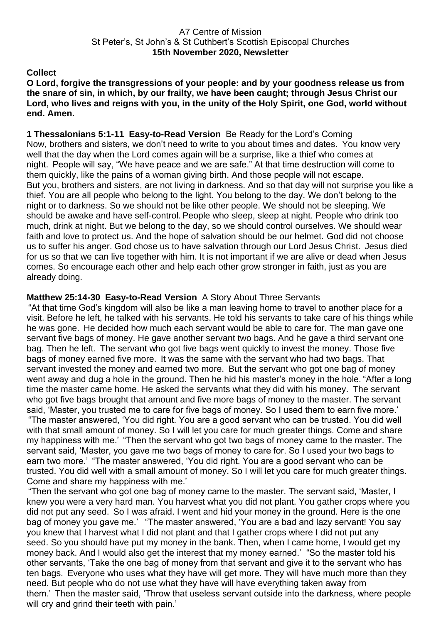### A7 Centre of Mission St Peter's, St John's & St Cuthbert's Scottish Episcopal Churches **15th November 2020, Newsletter**

### **Collect**

**O Lord, forgive the transgressions of your people: and by your goodness release us from the snare of sin, in which, by our frailty, we have been caught; through Jesus Christ our Lord, who lives and reigns with you, in the unity of the Holy Spirit, one God, world without end. Amen.**

**1 Thessalonians 5:1-11 Easy-to-Read Version** Be Ready for the Lord's Coming Now, brothers and sisters, we don't need to write to you about times and dates. You know very well that the day when the Lord comes again will be a surprise, like a thief who comes at night. People will say, "We have peace and we are safe." At that time destruction will come to them quickly, like the pains of a woman giving birth. And those people will not escape. But you, brothers and sisters, are not living in darkness. And so that day will not surprise you like a thief. You are all people who belong to the light. You belong to the day. We don't belong to the night or to darkness. So we should not be like other people. We should not be sleeping. We should be awake and have self-control. People who sleep, sleep at night. People who drink too much, drink at night. But we belong to the day, so we should control ourselves. We should wear faith and love to protect us. And the hope of salvation should be our helmet. God did not choose us to suffer his anger. God chose us to have salvation through our Lord Jesus Christ. Jesus died for us so that we can live together with him. It is not important if we are alive or dead when Jesus comes. So encourage each other and help each other grow stronger in faith, just as you are already doing.

### **Matthew 25:14-30 Easy-to-Read Version** A Story About Three Servants

"At that time God's kingdom will also be like a man leaving home to travel to another place for a visit. Before he left, he talked with his servants. He told his servants to take care of his things while he was gone. He decided how much each servant would be able to care for. The man gave one servant five bags of money. He gave another servant two bags. And he gave a third servant one bag. Then he left. The servant who got five bags went quickly to invest the money. Those five bags of money earned five more. It was the same with the servant who had two bags. That servant invested the money and earned two more. But the servant who got one bag of money went away and dug a hole in the ground. Then he hid his master's money in the hole. "After a long time the master came home. He asked the servants what they did with his money. The servant who got five bags brought that amount and five more bags of money to the master. The servant said, 'Master, you trusted me to care for five bags of money. So I used them to earn five more.' "The master answered, 'You did right. You are a good servant who can be trusted. You did well with that small amount of money. So I will let you care for much greater things. Come and share my happiness with me.' "Then the servant who got two bags of money came to the master. The servant said, 'Master, you gave me two bags of money to care for. So I used your two bags to earn two more.' "The master answered, 'You did right. You are a good servant who can be trusted. You did well with a small amount of money. So I will let you care for much greater things. Come and share my happiness with me.'

"Then the servant who got one bag of money came to the master. The servant said, 'Master, I knew you were a very hard man. You harvest what you did not plant. You gather crops where you did not put any seed. So I was afraid. I went and hid your money in the ground. Here is the one bag of money you gave me.' "The master answered, 'You are a bad and lazy servant! You say you knew that I harvest what I did not plant and that I gather crops where I did not put any seed. So you should have put my money in the bank. Then, when I came home, I would get my money back. And I would also get the interest that my money earned.' "So the master told his other servants, 'Take the one bag of money from that servant and give it to the servant who has ten bags. Everyone who uses what they have will get more. They will have much more than they need. But people who do not use what they have will have everything taken away from them.' Then the master said, 'Throw that useless servant outside into the darkness, where people will cry and grind their teeth with pain.'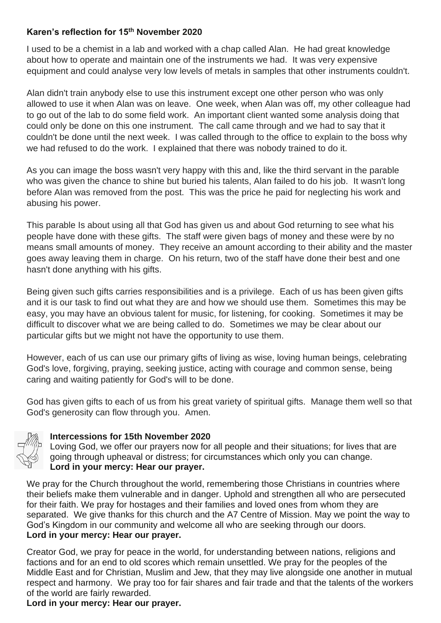### **Karen's reflection for 15th November 2020**

I used to be a chemist in a lab and worked with a chap called Alan. He had great knowledge about how to operate and maintain one of the instruments we had. It was very expensive equipment and could analyse very low levels of metals in samples that other instruments couldn't.

Alan didn't train anybody else to use this instrument except one other person who was only allowed to use it when Alan was on leave. One week, when Alan was off, my other colleague had to go out of the lab to do some field work. An important client wanted some analysis doing that could only be done on this one instrument. The call came through and we had to say that it couldn't be done until the next week. I was called through to the office to explain to the boss why we had refused to do the work. I explained that there was nobody trained to do it.

As you can image the boss wasn't very happy with this and, like the third servant in the parable who was given the chance to shine but buried his talents, Alan failed to do his job. It wasn't long before Alan was removed from the post. This was the price he paid for neglecting his work and abusing his power.

This parable Is about using all that God has given us and about God returning to see what his people have done with these gifts. The staff were given bags of money and these were by no means small amounts of money. They receive an amount according to their ability and the master goes away leaving them in charge. On his return, two of the staff have done their best and one hasn't done anything with his gifts.

Being given such gifts carries responsibilities and is a privilege. Each of us has been given gifts and it is our task to find out what they are and how we should use them. Sometimes this may be easy, you may have an obvious talent for music, for listening, for cooking. Sometimes it may be difficult to discover what we are being called to do. Sometimes we may be clear about our particular gifts but we might not have the opportunity to use them.

However, each of us can use our primary gifts of living as wise, loving human beings, celebrating God's love, forgiving, praying, seeking justice, acting with courage and common sense, being caring and waiting patiently for God's will to be done.

God has given gifts to each of us from his great variety of spiritual gifts. Manage them well so that God's generosity can flow through you. Amen.



### **Intercessions for 15th November 2020**

Loving God, we offer our prayers now for all people and their situations; for lives that are going through upheaval or distress; for circumstances which only you can change. **Lord in your mercy: Hear our prayer.**

We pray for the Church throughout the world, remembering those Christians in countries where their beliefs make them vulnerable and in danger. Uphold and strengthen all who are persecuted for their faith. We pray for hostages and their families and loved ones from whom they are separated. We give thanks for this church and the A7 Centre of Mission. May we point the way to God's Kingdom in our community and welcome all who are seeking through our doors. **Lord in your mercy: Hear our prayer.**

Creator God, we pray for peace in the world, for understanding between nations, religions and factions and for an end to old scores which remain unsettled. We pray for the peoples of the Middle East and for Christian, Muslim and Jew, that they may live alongside one another in mutual respect and harmony. We pray too for fair shares and fair trade and that the talents of the workers of the world are fairly rewarded.

**Lord in your mercy: Hear our prayer.**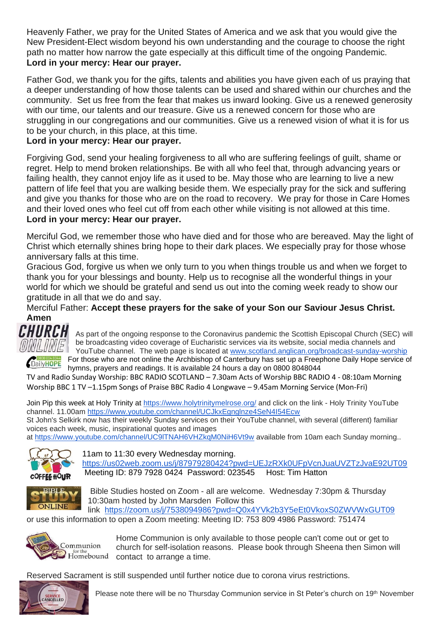Heavenly Father, we pray for the United States of America and we ask that you would give the New President-Elect wisdom beyond his own understanding and the courage to choose the right path no matter how narrow the gate especially at this difficult time of the ongoing Pandemic. **Lord in your mercy: Hear our prayer.**

Father God, we thank you for the gifts, talents and abilities you have given each of us praying that a deeper understanding of how those talents can be used and shared within our churches and the community. Set us free from the fear that makes us inward looking. Give us a renewed generosity with our time, our talents and our treasure. Give us a renewed concern for those who are struggling in our congregations and our communities. Give us a renewed vision of what it is for us to be your church, in this place, at this time.

## **Lord in your mercy: Hear our prayer.**

Forgiving God, send your healing forgiveness to all who are suffering feelings of guilt, shame or regret. Help to mend broken relationships. Be with all who feel that, through advancing years or failing health, they cannot enjoy life as it used to be. May those who are learning to live a new pattern of life feel that you are walking beside them. We especially pray for the sick and suffering and give you thanks for those who are on the road to recovery. We pray for those in Care Homes and their loved ones who feel cut off from each other while visiting is not allowed at this time. **Lord in your mercy: Hear our prayer.**

Merciful God, we remember those who have died and for those who are bereaved. May the light of Christ which eternally shines bring hope to their dark places. We especially pray for those whose anniversary falls at this time.

Gracious God, forgive us when we only turn to you when things trouble us and when we forget to thank you for your blessings and bounty. Help us to recognise all the wonderful things in your world for which we should be grateful and send us out into the coming week ready to show our gratitude in all that we do and say.

Merciful Father: **Accept these prayers for the sake of your Son our Saviour Jesus Christ. Amen**



As part of the ongoing response to the Coronavirus pandemic the Scottish Episcopal Church (SEC) will be broadcasting video coverage of Eucharistic services via its website, social media channels and YouTube channel. The web page is located at [www.scotland.anglican.org/broadcast-sunday-worship](http://www.scotland.anglican.org/broadcast-sunday-worship) For those who are not online the Archbishop of Canterbury has set up a Freephone Daily Hope service of

DailyHOPE hymns, prayers and readings. It is available 24 hours a day on 0800 8048044

TV and Radio Sunday Worship: BBC RADIO SCOTLAND – 7.30am Acts of Worship BBC RADIO 4 - 08:10am Morning Worship BBC 1 TV –1.15pm Songs of Praise BBC Radio 4 Longwave – 9.45am Morning Service (Mon-Fri)

Join Pip this week at Holy Trinity at<https://www.holytrinitymelrose.org/> and click on the link - Holy Trinity YouTube channel. 11.00am<https://www.youtube.com/channel/UCJkxEgnglnze4SeN4I54Ecw>

St John's Selkirk now has their weekly Sunday services on their YouTube channel, with several (different) familiar voices each week, music, inspirational quotes and images

at https://www.youtube.com/channel/UC9ITNAH6VHZkqM0NiH6Vt9w available from 10am each Sunday morning..



11am to 11:30 every Wednesday morning.

<https://us02web.zoom.us/j/87979280424?pwd=UEJzRXk0UFpVcnJuaUVZTzJvaE92UT09> Meeting ID: 879 7928 0424 Password: 023545 Host: Tim Hatton



Bible Studies hosted on Zoom - all are welcome. Wednesday 7:30pm & Thursday 10:30am hosted by John Marsden Follow this link <https://zoom.us/j/7538094986?pwd=Q0x4YVk2b3Y5eEt0VkoxS0ZWVWxGUT09>

or use this information to open a Zoom meeting: Meeting ID: 753 809 4986 Password: 751474



Home Communion is only available to those people can't come out or get to church for self-isolation reasons. Please book through Sheena then Simon will Contact to arrange a time.

Reserved Sacrament is still suspended until further notice due to corona virus restrictions.



Please note there will be no Thursday Communion service in St Peter's church on 19<sup>th</sup> November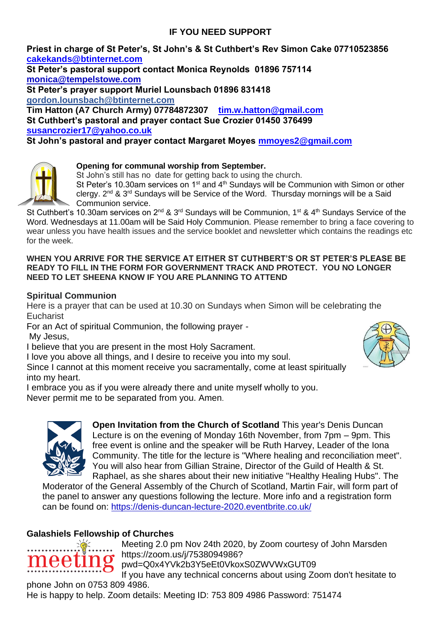# **IF YOU NEED SUPPORT**

**Priest in charge of St Peter's, St John's & St Cuthbert's Rev Simon Cake 07710523856 [cakekands@btinternet.com](mailto:cakekands@btinternet.com)**

**St Peter's pastoral support contact Monica Reynolds 01896 757114 [monica@tempelstowe.com](mailto:monica@tempelstowe.com)**

**St Peter's prayer support Muriel Lounsbach 01896 831418** 

**gordon.lounsbach@btinternet.com**

**Tim Hatton (A7 Church Army) 07784872307 [tim.w.hatton@gmail.com](mailto:tim.w.hutton@gmail.com) St Cuthbert's pastoral and prayer contact Sue Crozier 01450 376499 [susancrozier17@yahoo.co.uk](mailto:susancrozier17@yahoo.co.uk)**

**St John's pastoral and prayer contact Margaret Moyes [mmoyes2@gmail.com](mailto:mmoyes2@gmail.com)**



### **Opening for communal worship from September[.](https://l.facebook.com/l.php?u=https%3A%2F%2Fwww.strava.com%2Factivities%2F4115144364%3Ffbclid%3DIwAR2dp0V7bZw56KZNe7vvvP6qvLImkA5BNccKKFT60WPFMxOmexhBDMqE1hk&h=AT06T4e_7h6ZApB1oGWjk7pLBQ-K3FrXkDzPu-3dIUW9Yq2uWgVHvA1iH9D2G0qHAEzsVf6iZSPLYjt6IIPAEnVxcjXeHb_PKNtCimTKWYec9eSyBG-fhPgCt_GQiLPKta1r&__tn__=H-R&c%5b0%5d=AT0geC5tx4HBtnuUp3gCeEzYdFpe7hKghWt3IPt71OMD54KpTLRZ2BoA0MuMeWwHlfudxO2cBtPJ9so98nMDTcbxTJGAgh-8HbIfpS2DmXnwskBFa3Rkq0KNMefG4EVpFLNqSFOwfcU5q9TBFeRBz7HaUNslyrmv_jq4-z_aqyrBursxAXDT8wGoXyLBHCyTB8npD5HEm393dr1yc9xU8_Tzaw)**

St John's still has no date for getting back to using the church.

St Peter's 10.30am services on 1<sup>st</sup> and 4<sup>th</sup> Sundays will be Communion with Simon or other clergy.  $2^{nd}$  &  $3^{rd}$  Sundays will be Service of the Word. Thursday mornings will be a Said Communion service.

St Cuthbert's 10.30am services on 2<sup>nd</sup> & 3<sup>rd</sup> Sundays will be Communion, 1<sup>st</sup> & 4<sup>th</sup> Sundays Service of the Word. Wednesdays at 11.00am will be Said Holy Communion. Please remember to bring a face covering to wear unless you have health issues and the service booklet and newsletter which contains the readings etc for the week.

#### **WHEN YOU ARRIVE FOR THE SERVICE AT EITHER ST CUTHBERT'S OR ST PETER'S PLEASE BE READY TO FILL IN THE FORM FOR GOVERNMENT TRACK AND PROTECT. YOU NO LONGER NEED TO LET SHEENA KNOW IF YOU ARE PLANNING TO ATTEND**

### **Spiritual Communion**

Here is a prayer that can be used at 10.30 on Sundays when Simon will be celebrating the Eucharist

For an Act of spiritual Communion, the following prayer - My Jesus,

I believe that you are present in the most Holy Sacrament.

I love you above all things, and I desire to receive you into my soul.

Since I cannot at this moment receive you sacramentally, come at least spiritually into my heart.

I embrace you as if you were already there and unite myself wholly to you. Never permit me to be separated from you. Amen.



**Open Invitation from the Church of Scotland** This year's Denis Duncan Lecture is on the evening of Monday 16th November, from 7pm – 9pm. This free event is online and the speaker will be Ruth Harvey, Leader of the Iona Community. The title for the lecture is "Where healing and reconciliation meet". You will also hear from Gillian Straine, Director of the Guild of Health & St. Raphael, as she shares about their new initiative "Healthy Healing Hubs". The

Moderator of the General Assembly of the Church of Scotland, Martin Fair, will form part of the panel to answer any questions following the lecture. More info and a registration form can be found on:<https://denis-duncan-lecture-2020.eventbrite.co.uk/>

# **Galashiels Fellowship of Churches**



Meeting 2.0 pm Nov 24th 2020, by Zoom courtesy of John Marsden https://zoom.us/j/7538094986?

pwd=Q0x4YVk2b3Y5eEt0VkoxS0ZWVWxGUT09

If you have any technical concerns about using Zoom don't hesitate to phone John on 0753 809 4986.

He is happy to help. Zoom details: Meeting ID: 753 809 4986 Password: 751474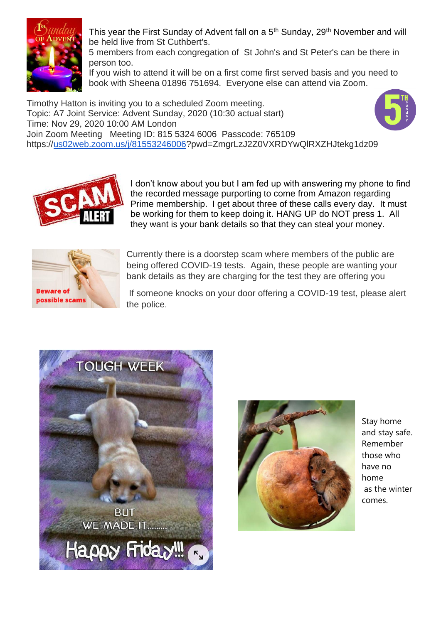

This year the First Sunday of Advent fall on a 5<sup>th</sup> Sunday, 29<sup>th</sup> November and will be held live from St Cuthbert's.

5 members from each congregation of St John's and St Peter's can be there in person too.

If you wish to attend it will be on a first come first served basis and you need to book with Sheena 01896 751694. Everyone else can attend via Zoom.

Timothy Hatton is inviting you to a scheduled Zoom meeting. Topic: A7 Joint Service: Advent Sunday, 2020 (10:30 actual start) Time: Nov 29, 2020 10:00 AM London Join Zoom Meeting Meeting ID: 815 5324 6006 Passcode: 765109 https:/[/us02web.zoom.us/j/81553246006?](http://us02web.zoom.us/j/81553246006)pwd=ZmgrLzJ2Z0VXRDYwQlRXZHJtekg1dz09



I don't know about you but I am fed up with answering my phone to find the recorded message purporting to come from Amazon regarding Prime membership. I get about three of these calls every day. It must be working for them to keep doing it. HANG UP do NOT press 1. All they want is your bank details so that they can steal your money.



Currently there is a doorstep scam where members of the public are being offered COVID-19 tests. Again, these people are wanting your bank details as they are charging for the test they are offering you

If someone knocks on your door offering a COVID-19 test, please alert the police.





Stay home and stay safe. Remember those who have no home as the winter comes.